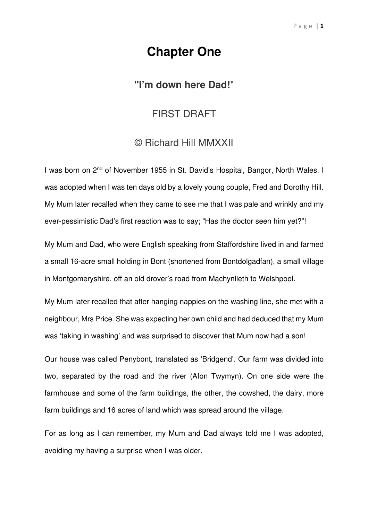## **Chapter One**

## **"I'm down here Dad!**"

## FIRST DRAFT

## © Richard Hill MMXXII

I was born on 2nd of November 1955 in St. David's Hospital, Bangor, North Wales. I was adopted when I was ten days old by a lovely young couple, Fred and Dorothy Hill. My Mum later recalled when they came to see me that I was pale and wrinkly and my ever-pessimistic Dad's first reaction was to say; "Has the doctor seen him yet?"!

My Mum and Dad, who were English speaking from Staffordshire lived in and farmed a small 16-acre small holding in Bont (shortened from Bontdolgadfan), a small village in Montgomeryshire, off an old drover's road from Machynlleth to Welshpool.

My Mum later recalled that after hanging nappies on the washing line, she met with a neighbour, Mrs Price. She was expecting her own child and had deduced that my Mum was 'taking in washing' and was surprised to discover that Mum now had a son!

Our house was called Penybont, translated as 'Bridgend'. Our farm was divided into two, separated by the road and the river (Afon Twymyn). On one side were the farmhouse and some of the farm buildings, the other, the cowshed, the dairy, more farm buildings and 16 acres of land which was spread around the village.

For as long as I can remember, my Mum and Dad always told me I was adopted, avoiding my having a surprise when I was older.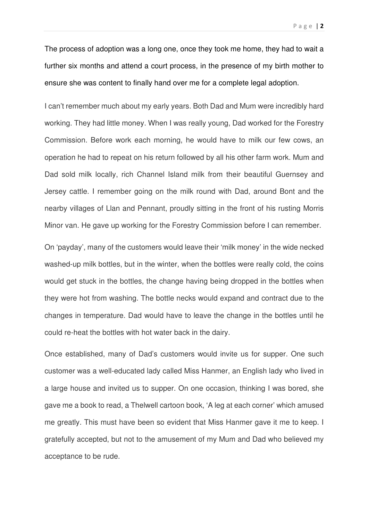The process of adoption was a long one, once they took me home, they had to wait a further six months and attend a court process, in the presence of my birth mother to ensure she was content to finally hand over me for a complete legal adoption.

I can't remember much about my early years. Both Dad and Mum were incredibly hard working. They had little money. When I was really young, Dad worked for the Forestry Commission. Before work each morning, he would have to milk our few cows, an operation he had to repeat on his return followed by all his other farm work. Mum and Dad sold milk locally, rich Channel Island milk from their beautiful Guernsey and Jersey cattle. I remember going on the milk round with Dad, around Bont and the nearby villages of Llan and Pennant, proudly sitting in the front of his rusting Morris Minor van. He gave up working for the Forestry Commission before I can remember.

On 'payday', many of the customers would leave their 'milk money' in the wide necked washed-up milk bottles, but in the winter, when the bottles were really cold, the coins would get stuck in the bottles, the change having being dropped in the bottles when they were hot from washing. The bottle necks would expand and contract due to the changes in temperature. Dad would have to leave the change in the bottles until he could re-heat the bottles with hot water back in the dairy.

Once established, many of Dad's customers would invite us for supper. One such customer was a well-educated lady called Miss Hanmer, an English lady who lived in a large house and invited us to supper. On one occasion, thinking I was bored, she gave me a book to read, a Thelwell cartoon book, 'A leg at each corner' which amused me greatly. This must have been so evident that Miss Hanmer gave it me to keep. I gratefully accepted, but not to the amusement of my Mum and Dad who believed my acceptance to be rude.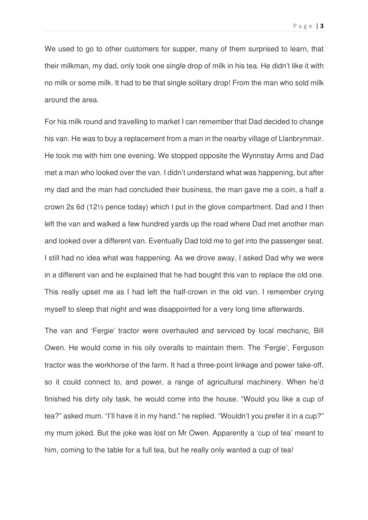We used to go to other customers for supper, many of them surprised to learn, that their milkman, my dad, only took one single drop of milk in his tea. He didn't like it with no milk or some milk. It had to be that single solitary drop! From the man who sold milk around the area.

For his milk round and travelling to market I can remember that Dad decided to change his van. He was to buy a replacement from a man in the nearby village of Llanbrynmair. He took me with him one evening. We stopped opposite the Wynnstay Arms and Dad met a man who looked over the van. I didn't understand what was happening, but after my dad and the man had concluded their business, the man gave me a coin, a half a crown 2s 6d (12½ pence today) which I put in the glove compartment. Dad and I then left the van and walked a few hundred yards up the road where Dad met another man and looked over a different van. Eventually Dad told me to get into the passenger seat. I still had no idea what was happening. As we drove away, I asked Dad why we were in a different van and he explained that he had bought this van to replace the old one. This really upset me as I had left the half-crown in the old van. I remember crying myself to sleep that night and was disappointed for a very long time afterwards.

The van and 'Fergie' tractor were overhauled and serviced by local mechanic, Bill Owen. He would come in his oily overalls to maintain them. The 'Fergie', Ferguson tractor was the workhorse of the farm. It had a three-point linkage and power take-off, so it could connect to, and power, a range of agricultural machinery. When he'd finished his dirty oily task, he would come into the house. "Would you like a cup of tea?" asked mum. "I'll have it in my hand." he replied. "Wouldn't you prefer it in a cup?" my mum joked. But the joke was lost on Mr Owen. Apparently a 'cup of tea' meant to him, coming to the table for a full tea, but he really only wanted a cup of tea!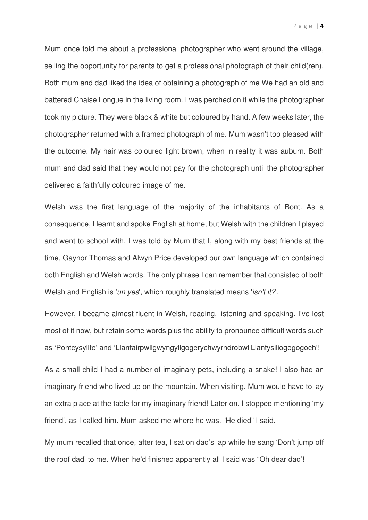Mum once told me about a professional photographer who went around the village, selling the opportunity for parents to get a professional photograph of their child(ren). Both mum and dad liked the idea of obtaining a photograph of me We had an old and battered Chaise Longue in the living room. I was perched on it while the photographer took my picture. They were black & white but coloured by hand. A few weeks later, the photographer returned with a framed photograph of me. Mum wasn't too pleased with the outcome. My hair was coloured light brown, when in reality it was auburn. Both mum and dad said that they would not pay for the photograph until the photographer delivered a faithfully coloured image of me.

Welsh was the first language of the majority of the inhabitants of Bont. As a consequence, I learnt and spoke English at home, but Welsh with the children I played and went to school with. I was told by Mum that I, along with my best friends at the time, Gaynor Thomas and Alwyn Price developed our own language which contained both English and Welsh words. The only phrase I can remember that consisted of both Welsh and English is '*un yes*', which roughly translated means '*isn't it?*.

However, I became almost fluent in Welsh, reading, listening and speaking. I've lost most of it now, but retain some words plus the ability to pronounce difficult words such as 'Pontcysyllte' and 'LlanfairpwllgwyngyllgogerychwyrndrobwllLlantysiliogogogoch'!

As a small child I had a number of imaginary pets, including a snake! I also had an imaginary friend who lived up on the mountain. When visiting, Mum would have to lay an extra place at the table for my imaginary friend! Later on, I stopped mentioning 'my friend', as I called him. Mum asked me where he was. "He died" I said.

My mum recalled that once, after tea, I sat on dad's lap while he sang 'Don't jump off the roof dad' to me. When he'd finished apparently all I said was "Oh dear dad'!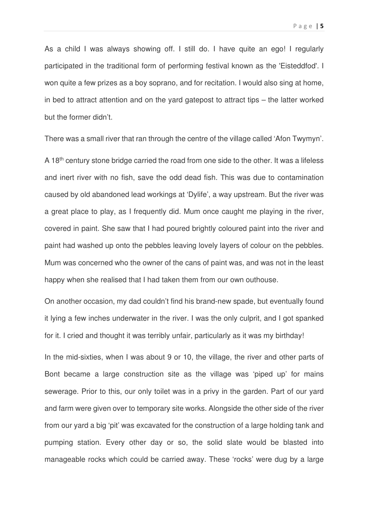As a child I was always showing off. I still do. I have quite an ego! I regularly participated in the traditional form of performing festival known as the 'Eisteddfod'. I won quite a few prizes as a boy soprano, and for recitation. I would also sing at home, in bed to attract attention and on the yard gatepost to attract tips – the latter worked but the former didn't.

There was a small river that ran through the centre of the village called 'Afon Twymyn'.

A 18<sup>th</sup> century stone bridge carried the road from one side to the other. It was a lifeless and inert river with no fish, save the odd dead fish. This was due to contamination caused by old abandoned lead workings at 'Dylife', a way upstream. But the river was a great place to play, as I frequently did. Mum once caught me playing in the river, covered in paint. She saw that I had poured brightly coloured paint into the river and paint had washed up onto the pebbles leaving lovely layers of colour on the pebbles. Mum was concerned who the owner of the cans of paint was, and was not in the least happy when she realised that I had taken them from our own outhouse.

On another occasion, my dad couldn't find his brand-new spade, but eventually found it lying a few inches underwater in the river. I was the only culprit, and I got spanked for it. I cried and thought it was terribly unfair, particularly as it was my birthday!

In the mid-sixties, when I was about 9 or 10, the village, the river and other parts of Bont became a large construction site as the village was 'piped up' for mains sewerage. Prior to this, our only toilet was in a privy in the garden. Part of our yard and farm were given over to temporary site works. Alongside the other side of the river from our yard a big 'pit' was excavated for the construction of a large holding tank and pumping station. Every other day or so, the solid slate would be blasted into manageable rocks which could be carried away. These 'rocks' were dug by a large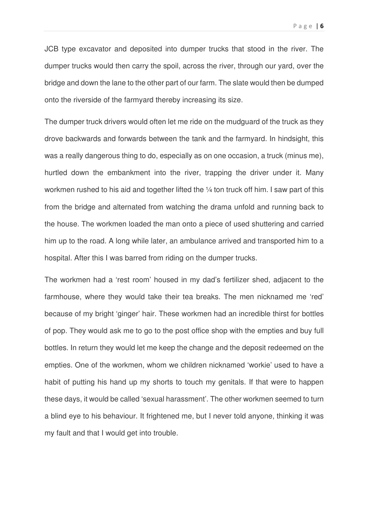JCB type excavator and deposited into dumper trucks that stood in the river. The dumper trucks would then carry the spoil, across the river, through our yard, over the bridge and down the lane to the other part of our farm. The slate would then be dumped onto the riverside of the farmyard thereby increasing its size.

The dumper truck drivers would often let me ride on the mudguard of the truck as they drove backwards and forwards between the tank and the farmyard. In hindsight, this was a really dangerous thing to do, especially as on one occasion, a truck (minus me), hurtled down the embankment into the river, trapping the driver under it. Many workmen rushed to his aid and together lifted the 1/4 ton truck off him. I saw part of this from the bridge and alternated from watching the drama unfold and running back to the house. The workmen loaded the man onto a piece of used shuttering and carried him up to the road. A long while later, an ambulance arrived and transported him to a hospital. After this I was barred from riding on the dumper trucks.

The workmen had a 'rest room' housed in my dad's fertilizer shed, adjacent to the farmhouse, where they would take their tea breaks. The men nicknamed me 'red' because of my bright 'ginger' hair. These workmen had an incredible thirst for bottles of pop. They would ask me to go to the post office shop with the empties and buy full bottles. In return they would let me keep the change and the deposit redeemed on the empties. One of the workmen, whom we children nicknamed 'workie' used to have a habit of putting his hand up my shorts to touch my genitals. If that were to happen these days, it would be called 'sexual harassment'. The other workmen seemed to turn a blind eye to his behaviour. It frightened me, but I never told anyone, thinking it was my fault and that I would get into trouble.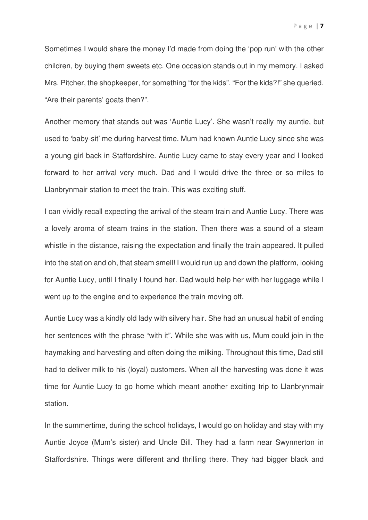Sometimes I would share the money I'd made from doing the 'pop run' with the other children, by buying them sweets etc. One occasion stands out in my memory. I asked Mrs. Pitcher, the shopkeeper, for something "for the kids". "For the kids?!" she queried. "Are their parents' goats then?".

Another memory that stands out was 'Auntie Lucy'. She wasn't really my auntie, but used to 'baby-sit' me during harvest time. Mum had known Auntie Lucy since she was a young girl back in Staffordshire. Auntie Lucy came to stay every year and I looked forward to her arrival very much. Dad and I would drive the three or so miles to Llanbrynmair station to meet the train. This was exciting stuff.

I can vividly recall expecting the arrival of the steam train and Auntie Lucy. There was a lovely aroma of steam trains in the station. Then there was a sound of a steam whistle in the distance, raising the expectation and finally the train appeared. It pulled into the station and oh, that steam smell! I would run up and down the platform, looking for Auntie Lucy, until I finally I found her. Dad would help her with her luggage while I went up to the engine end to experience the train moving off.

Auntie Lucy was a kindly old lady with silvery hair. She had an unusual habit of ending her sentences with the phrase "with it". While she was with us, Mum could join in the haymaking and harvesting and often doing the milking. Throughout this time, Dad still had to deliver milk to his (loyal) customers. When all the harvesting was done it was time for Auntie Lucy to go home which meant another exciting trip to Llanbrynmair station.

In the summertime, during the school holidays, I would go on holiday and stay with my Auntie Joyce (Mum's sister) and Uncle Bill. They had a farm near Swynnerton in Staffordshire. Things were different and thrilling there. They had bigger black and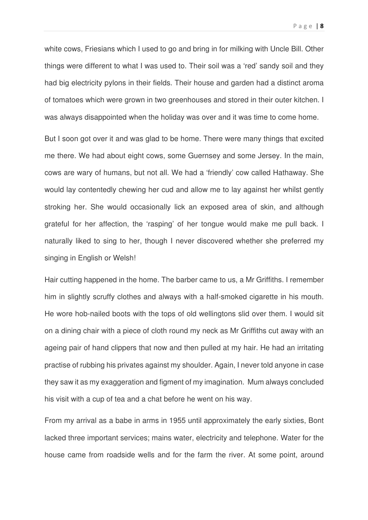white cows, Friesians which I used to go and bring in for milking with Uncle Bill. Other things were different to what I was used to. Their soil was a 'red' sandy soil and they had big electricity pylons in their fields. Their house and garden had a distinct aroma of tomatoes which were grown in two greenhouses and stored in their outer kitchen. I was always disappointed when the holiday was over and it was time to come home.

But I soon got over it and was glad to be home. There were many things that excited me there. We had about eight cows, some Guernsey and some Jersey. In the main, cows are wary of humans, but not all. We had a 'friendly' cow called Hathaway. She would lay contentedly chewing her cud and allow me to lay against her whilst gently stroking her. She would occasionally lick an exposed area of skin, and although grateful for her affection, the 'rasping' of her tongue would make me pull back. I naturally liked to sing to her, though I never discovered whether she preferred my singing in English or Welsh!

Hair cutting happened in the home. The barber came to us, a Mr Griffiths. I remember him in slightly scruffy clothes and always with a half-smoked cigarette in his mouth. He wore hob-nailed boots with the tops of old wellingtons slid over them. I would sit on a dining chair with a piece of cloth round my neck as Mr Griffiths cut away with an ageing pair of hand clippers that now and then pulled at my hair. He had an irritating practise of rubbing his privates against my shoulder. Again, I never told anyone in case they saw it as my exaggeration and figment of my imagination. Mum always concluded his visit with a cup of tea and a chat before he went on his way.

From my arrival as a babe in arms in 1955 until approximately the early sixties, Bont lacked three important services; mains water, electricity and telephone. Water for the house came from roadside wells and for the farm the river. At some point, around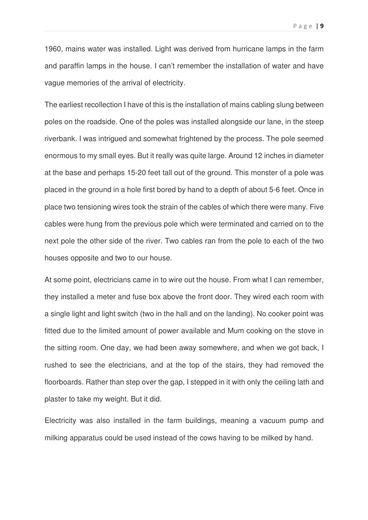1960, mains water was installed. Light was derived from hurricane lamps in the farm and paraffin lamps in the house. I can't remember the installation of water and have vague memories of the arrival of electricity.

The earliest recollection I have of this is the installation of mains cabling slung between poles on the roadside. One of the poles was installed alongside our lane, in the steep riverbank. I was intrigued and somewhat frightened by the process. The pole seemed enormous to my small eyes. But it really was quite large. Around 12 inches in diameter at the base and perhaps 15-20 feet tall out of the ground. This monster of a pole was placed in the ground in a hole first bored by hand to a depth of about 5-6 feet. Once in place two tensioning wires took the strain of the cables of which there were many. Five cables were hung from the previous pole which were terminated and carried on to the next pole the other side of the river. Two cables ran from the pole to each of the two houses opposite and two to our house.

At some point, electricians came in to wire out the house. From what I can remember, they installed a meter and fuse box above the front door. They wired each room with a single light and light switch (two in the hall and on the landing). No cooker point was fitted due to the limited amount of power available and Mum cooking on the stove in the sitting room. One day, we had been away somewhere, and when we got back, I rushed to see the electricians, and at the top of the stairs, they had removed the floorboards. Rather than step over the gap, I stepped in it with only the ceiling lath and plaster to take my weight. But it did.

Electricity was also installed in the farm buildings, meaning a vacuum pump and milking apparatus could be used instead of the cows having to be milked by hand.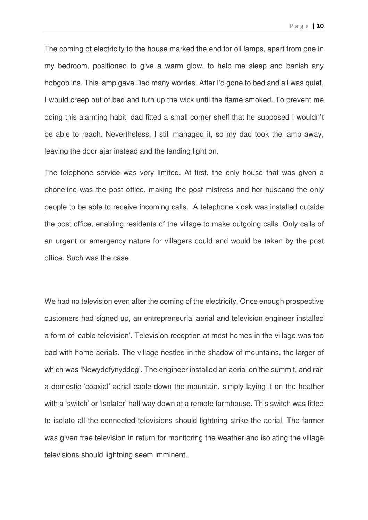The coming of electricity to the house marked the end for oil lamps, apart from one in my bedroom, positioned to give a warm glow, to help me sleep and banish any hobgoblins. This lamp gave Dad many worries. After I'd gone to bed and all was quiet, I would creep out of bed and turn up the wick until the flame smoked. To prevent me doing this alarming habit, dad fitted a small corner shelf that he supposed I wouldn't be able to reach. Nevertheless, I still managed it, so my dad took the lamp away, leaving the door ajar instead and the landing light on.

The telephone service was very limited. At first, the only house that was given a phoneline was the post office, making the post mistress and her husband the only people to be able to receive incoming calls. A telephone kiosk was installed outside the post office, enabling residents of the village to make outgoing calls. Only calls of an urgent or emergency nature for villagers could and would be taken by the post office. Such was the case

We had no television even after the coming of the electricity. Once enough prospective customers had signed up, an entrepreneurial aerial and television engineer installed a form of 'cable television'. Television reception at most homes in the village was too bad with home aerials. The village nestled in the shadow of mountains, the larger of which was 'Newyddfynyddog'. The engineer installed an aerial on the summit, and ran a domestic 'coaxial' aerial cable down the mountain, simply laying it on the heather with a 'switch' or 'isolator' half way down at a remote farmhouse. This switch was fitted to isolate all the connected televisions should lightning strike the aerial. The farmer was given free television in return for monitoring the weather and isolating the village televisions should lightning seem imminent.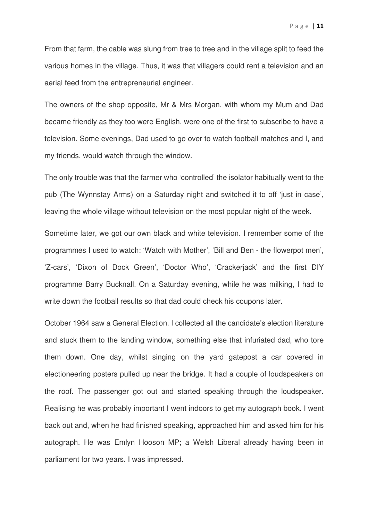From that farm, the cable was slung from tree to tree and in the village split to feed the various homes in the village. Thus, it was that villagers could rent a television and an aerial feed from the entrepreneurial engineer.

The owners of the shop opposite, Mr & Mrs Morgan, with whom my Mum and Dad became friendly as they too were English, were one of the first to subscribe to have a television. Some evenings, Dad used to go over to watch football matches and I, and my friends, would watch through the window.

The only trouble was that the farmer who 'controlled' the isolator habitually went to the pub (The Wynnstay Arms) on a Saturday night and switched it to off 'just in case', leaving the whole village without television on the most popular night of the week.

Sometime later, we got our own black and white television. I remember some of the programmes I used to watch: 'Watch with Mother', 'Bill and Ben - the flowerpot men', 'Z-cars', 'Dixon of Dock Green', 'Doctor Who', 'Crackerjack' and the first DIY programme Barry Bucknall. On a Saturday evening, while he was milking, I had to write down the football results so that dad could check his coupons later.

October 1964 saw a General Election. I collected all the candidate's election literature and stuck them to the landing window, something else that infuriated dad, who tore them down. One day, whilst singing on the yard gatepost a car covered in electioneering posters pulled up near the bridge. It had a couple of loudspeakers on the roof. The passenger got out and started speaking through the loudspeaker. Realising he was probably important I went indoors to get my autograph book. I went back out and, when he had finished speaking, approached him and asked him for his autograph. He was Emlyn Hooson MP; a Welsh Liberal already having been in parliament for two years. I was impressed.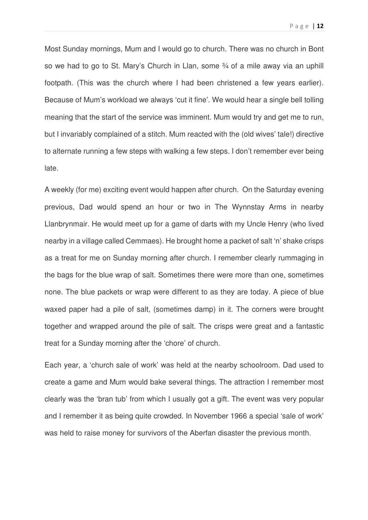Most Sunday mornings, Mum and I would go to church. There was no church in Bont so we had to go to St. Mary's Church in Llan, some 34 of a mile away via an uphill footpath. (This was the church where I had been christened a few years earlier). Because of Mum's workload we always 'cut it fine'. We would hear a single bell tolling meaning that the start of the service was imminent. Mum would try and get me to run, but I invariably complained of a stitch. Mum reacted with the (old wives' tale!) directive to alternate running a few steps with walking a few steps. I don't remember ever being late.

A weekly (for me) exciting event would happen after church. On the Saturday evening previous, Dad would spend an hour or two in The Wynnstay Arms in nearby Llanbrynmair. He would meet up for a game of darts with my Uncle Henry (who lived nearby in a village called Cemmaes). He brought home a packet of salt 'n' shake crisps as a treat for me on Sunday morning after church. I remember clearly rummaging in the bags for the blue wrap of salt. Sometimes there were more than one, sometimes none. The blue packets or wrap were different to as they are today. A piece of blue waxed paper had a pile of salt, (sometimes damp) in it. The corners were brought together and wrapped around the pile of salt. The crisps were great and a fantastic treat for a Sunday morning after the 'chore' of church.

Each year, a 'church sale of work' was held at the nearby schoolroom. Dad used to create a game and Mum would bake several things. The attraction I remember most clearly was the 'bran tub' from which I usually got a gift. The event was very popular and I remember it as being quite crowded. In November 1966 a special 'sale of work' was held to raise money for survivors of the Aberfan disaster the previous month.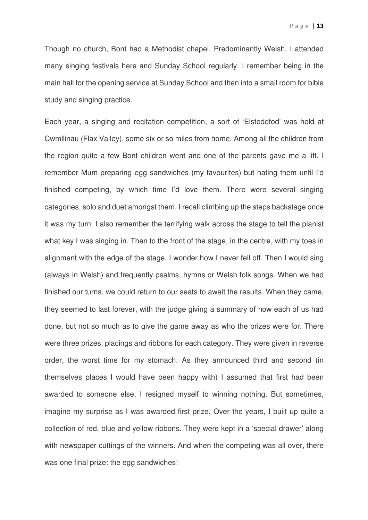Though no church, Bont had a Methodist chapel. Predominantly Welsh, I attended many singing festivals here and Sunday School regularly. I remember being in the main hall for the opening service at Sunday School and then into a small room for bible study and singing practice.

Each year, a singing and recitation competition, a sort of 'Eisteddfod' was held at Cwmllinau (Flax Valley), some six or so miles from home. Among all the children from the region quite a few Bont children went and one of the parents gave me a lift. I remember Mum preparing egg sandwiches (my favourites) but hating them until I'd finished competing, by which time I'd love them. There were several singing categories, solo and duet amongst them. I recall climbing up the steps backstage once it was my turn. I also remember the terrifying walk across the stage to tell the pianist what key I was singing in. Then to the front of the stage, in the centre, with my toes in alignment with the edge of the stage. I wonder how I never fell off. Then I would sing (always in Welsh) and frequently psalms, hymns or Welsh folk songs. When we had finished our turns, we could return to our seats to await the results. When they came, they seemed to last forever, with the judge giving a summary of how each of us had done, but not so much as to give the game away as who the prizes were for. There were three prizes, placings and ribbons for each category. They were given in reverse order, the worst time for my stomach. As they announced third and second (in themselves places I would have been happy with) I assumed that first had been awarded to someone else, I resigned myself to winning nothing. But sometimes, imagine my surprise as I was awarded first prize. Over the years, I built up quite a collection of red, blue and yellow ribbons. They were kept in a 'special drawer' along with newspaper cuttings of the winners. And when the competing was all over, there was one final prize: the egg sandwiches!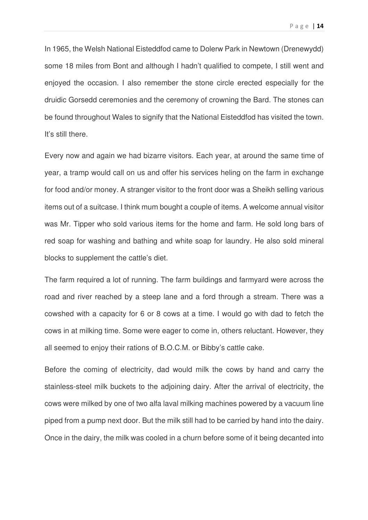In 1965, the Welsh National Eisteddfod came to Dolerw Park in Newtown (Drenewydd) some 18 miles from Bont and although I hadn't qualified to compete, I still went and enjoyed the occasion. I also remember the stone circle erected especially for the druidic Gorsedd ceremonies and the ceremony of crowning the Bard. The stones can be found throughout Wales to signify that the National Eisteddfod has visited the town. It's still there.

Every now and again we had bizarre visitors. Each year, at around the same time of year, a tramp would call on us and offer his services heling on the farm in exchange for food and/or money. A stranger visitor to the front door was a Sheikh selling various items out of a suitcase. I think mum bought a couple of items. A welcome annual visitor was Mr. Tipper who sold various items for the home and farm. He sold long bars of red soap for washing and bathing and white soap for laundry. He also sold mineral blocks to supplement the cattle's diet.

The farm required a lot of running. The farm buildings and farmyard were across the road and river reached by a steep lane and a ford through a stream. There was a cowshed with a capacity for 6 or 8 cows at a time. I would go with dad to fetch the cows in at milking time. Some were eager to come in, others reluctant. However, they all seemed to enjoy their rations of B.O.C.M. or Bibby's cattle cake.

Before the coming of electricity, dad would milk the cows by hand and carry the stainless-steel milk buckets to the adjoining dairy. After the arrival of electricity, the cows were milked by one of two alfa laval milking machines powered by a vacuum line piped from a pump next door. But the milk still had to be carried by hand into the dairy. Once in the dairy, the milk was cooled in a churn before some of it being decanted into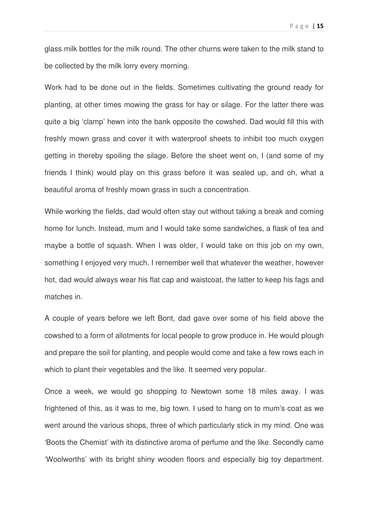glass milk bottles for the milk round. The other churns were taken to the milk stand to be collected by the milk lorry every morning.

Work had to be done out in the fields. Sometimes cultivating the ground ready for planting, at other times mowing the grass for hay or silage. For the latter there was quite a big 'clamp' hewn into the bank opposite the cowshed. Dad would fill this with freshly mown grass and cover it with waterproof sheets to inhibit too much oxygen getting in thereby spoiling the silage. Before the sheet went on, I (and some of my friends I think) would play on this grass before it was sealed up, and oh, what a beautiful aroma of freshly mown grass in such a concentration.

While working the fields, dad would often stay out without taking a break and coming home for lunch. Instead, mum and I would take some sandwiches, a flask of tea and maybe a bottle of squash. When I was older, I would take on this job on my own, something I enjoyed very much. I remember well that whatever the weather, however hot, dad would always wear his flat cap and waistcoat, the latter to keep his fags and matches in.

A couple of years before we left Bont, dad gave over some of his field above the cowshed to a form of allotments for local people to grow produce in. He would plough and prepare the soil for planting, and people would come and take a few rows each in which to plant their vegetables and the like. It seemed very popular.

Once a week, we would go shopping to Newtown some 18 miles away. I was frightened of this, as it was to me, big town. I used to hang on to mum's coat as we went around the various shops, three of which particularly stick in my mind. One was 'Boots the Chemist' with its distinctive aroma of perfume and the like. Secondly came 'Woolworths' with its bright shiny wooden floors and especially big toy department.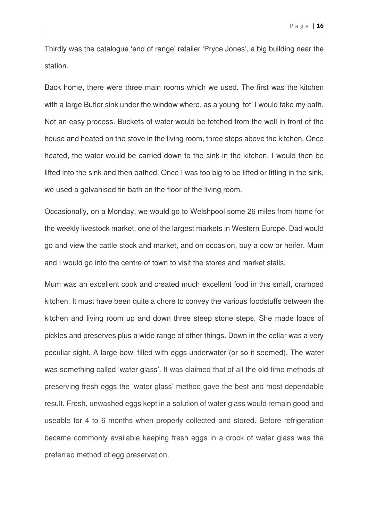Thirdly was the catalogue 'end of range' retailer 'Pryce Jones', a big building near the station.

Back home, there were three main rooms which we used. The first was the kitchen with a large Butler sink under the window where, as a young 'tot' I would take my bath. Not an easy process. Buckets of water would be fetched from the well in front of the house and heated on the stove in the living room, three steps above the kitchen. Once heated, the water would be carried down to the sink in the kitchen. I would then be lifted into the sink and then bathed. Once I was too big to be lifted or fitting in the sink, we used a galvanised tin bath on the floor of the living room.

Occasionally, on a Monday, we would go to Welshpool some 26 miles from home for the weekly livestock market, one of the largest markets in Western Europe. Dad would go and view the cattle stock and market, and on occasion, buy a cow or heifer. Mum and I would go into the centre of town to visit the stores and market stalls.

Mum was an excellent cook and created much excellent food in this small, cramped kitchen. It must have been quite a chore to convey the various foodstuffs between the kitchen and living room up and down three steep stone steps. She made loads of pickles and preserves plus a wide range of other things. Down in the cellar was a very peculiar sight. A large bowl filled with eggs underwater (or so it seemed). The water was something called 'water glass'. It was claimed that of all the old-time methods of preserving fresh eggs the 'water glass' method gave the best and most dependable result. Fresh, unwashed eggs kept in a solution of water glass would remain good and useable for 4 to 6 months when properly collected and stored. Before refrigeration became commonly available keeping fresh eggs in a crock of water glass was the preferred method of egg preservation.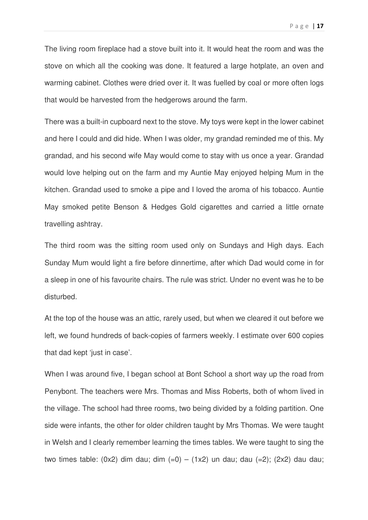The living room fireplace had a stove built into it. It would heat the room and was the stove on which all the cooking was done. It featured a large hotplate, an oven and warming cabinet. Clothes were dried over it. It was fuelled by coal or more often logs that would be harvested from the hedgerows around the farm.

There was a built-in cupboard next to the stove. My toys were kept in the lower cabinet and here I could and did hide. When I was older, my grandad reminded me of this. My grandad, and his second wife May would come to stay with us once a year. Grandad would love helping out on the farm and my Auntie May enjoyed helping Mum in the kitchen. Grandad used to smoke a pipe and I loved the aroma of his tobacco. Auntie May smoked petite Benson & Hedges Gold cigarettes and carried a little ornate travelling ashtray.

The third room was the sitting room used only on Sundays and High days. Each Sunday Mum would light a fire before dinnertime, after which Dad would come in for a sleep in one of his favourite chairs. The rule was strict. Under no event was he to be disturbed.

At the top of the house was an attic, rarely used, but when we cleared it out before we left, we found hundreds of back-copies of farmers weekly. I estimate over 600 copies that dad kept 'just in case'.

When I was around five, I began school at Bont School a short way up the road from Penybont. The teachers were Mrs. Thomas and Miss Roberts, both of whom lived in the village. The school had three rooms, two being divided by a folding partition. One side were infants, the other for older children taught by Mrs Thomas. We were taught in Welsh and I clearly remember learning the times tables. We were taught to sing the two times table:  $(0x2)$  dim dau; dim  $(=0) - (1x2)$  un dau; dau  $(=2)$ ;  $(2x2)$  dau dau;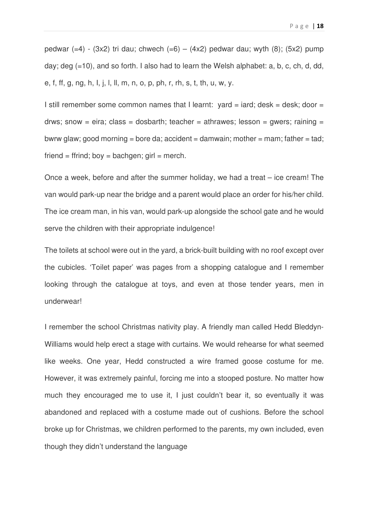pedwar  $(=4)$  -  $(3x2)$  tri dau; chwech  $(=6)$  –  $(4x2)$  pedwar dau; wyth  $(8)$ ;  $(5x2)$  pump day; deg (=10), and so forth. I also had to learn the Welsh alphabet: a, b, c, ch, d, dd, e, f, ff, g, ng, h, I, j, l, ll, m, n, o, p, ph, r, rh, s, t, th, u, w, y.

I still remember some common names that I learnt:  $yard = iard$ ; desk = desk; door = drws; snow = eira; class = dosbarth; teacher = athrawes; lesson = gwers; raining = bwrw glaw; good morning = bore da; accident = damwain; mother = mam; father = tad; friend = ffrind; boy = bachgen; girl = merch.

Once a week, before and after the summer holiday, we had a treat – ice cream! The van would park-up near the bridge and a parent would place an order for his/her child. The ice cream man, in his van, would park-up alongside the school gate and he would serve the children with their appropriate indulgence!

The toilets at school were out in the yard, a brick-built building with no roof except over the cubicles. 'Toilet paper' was pages from a shopping catalogue and I remember looking through the catalogue at toys, and even at those tender years, men in underwear!

I remember the school Christmas nativity play. A friendly man called Hedd Bleddyn-Williams would help erect a stage with curtains. We would rehearse for what seemed like weeks. One year, Hedd constructed a wire framed goose costume for me. However, it was extremely painful, forcing me into a stooped posture. No matter how much they encouraged me to use it, I just couldn't bear it, so eventually it was abandoned and replaced with a costume made out of cushions. Before the school broke up for Christmas, we children performed to the parents, my own included, even though they didn't understand the language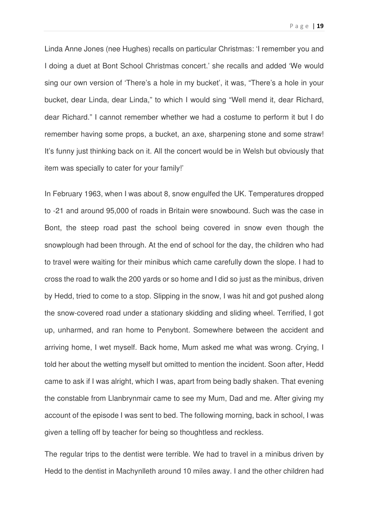Linda Anne Jones (nee Hughes) recalls on particular Christmas: 'I remember you and I doing a duet at Bont School Christmas concert.' she recalls and added 'We would sing our own version of 'There's a hole in my bucket', it was, "There's a hole in your bucket, dear Linda, dear Linda," to which I would sing "Well mend it, dear Richard, dear Richard." I cannot remember whether we had a costume to perform it but I do remember having some props, a bucket, an axe, sharpening stone and some straw! It's funny just thinking back on it. All the concert would be in Welsh but obviously that item was specially to cater for your family!'

In February 1963, when I was about 8, snow engulfed the UK. Temperatures dropped to -21 and around 95,000 of roads in Britain were snowbound. Such was the case in Bont, the steep road past the school being covered in snow even though the snowplough had been through. At the end of school for the day, the children who had to travel were waiting for their minibus which came carefully down the slope. I had to cross the road to walk the 200 yards or so home and I did so just as the minibus, driven by Hedd, tried to come to a stop. Slipping in the snow, I was hit and got pushed along the snow-covered road under a stationary skidding and sliding wheel. Terrified, I got up, unharmed, and ran home to Penybont. Somewhere between the accident and arriving home, I wet myself. Back home, Mum asked me what was wrong. Crying, I told her about the wetting myself but omitted to mention the incident. Soon after, Hedd came to ask if I was alright, which I was, apart from being badly shaken. That evening the constable from Llanbrynmair came to see my Mum, Dad and me. After giving my account of the episode I was sent to bed. The following morning, back in school, I was given a telling off by teacher for being so thoughtless and reckless.

The regular trips to the dentist were terrible. We had to travel in a minibus driven by Hedd to the dentist in Machynlleth around 10 miles away. I and the other children had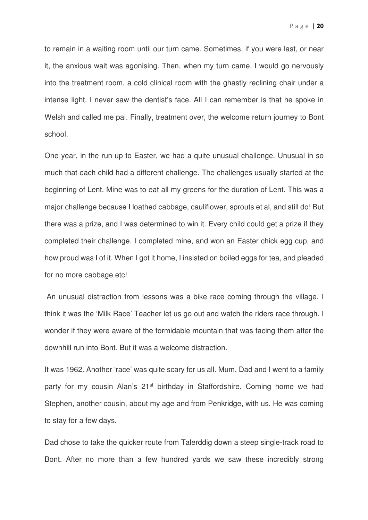P a g e | **20** 

to remain in a waiting room until our turn came. Sometimes, if you were last, or near it, the anxious wait was agonising. Then, when my turn came, I would go nervously into the treatment room, a cold clinical room with the ghastly reclining chair under a intense light. I never saw the dentist's face. All I can remember is that he spoke in Welsh and called me pal. Finally, treatment over, the welcome return journey to Bont school.

One year, in the run-up to Easter, we had a quite unusual challenge. Unusual in so much that each child had a different challenge. The challenges usually started at the beginning of Lent. Mine was to eat all my greens for the duration of Lent. This was a major challenge because I loathed cabbage, cauliflower, sprouts et al, and still do! But there was a prize, and I was determined to win it. Every child could get a prize if they completed their challenge. I completed mine, and won an Easter chick egg cup, and how proud was I of it. When I got it home, I insisted on boiled eggs for tea, and pleaded for no more cabbage etc!

 An unusual distraction from lessons was a bike race coming through the village. I think it was the 'Milk Race' Teacher let us go out and watch the riders race through. I wonder if they were aware of the formidable mountain that was facing them after the downhill run into Bont. But it was a welcome distraction.

It was 1962. Another 'race' was quite scary for us all. Mum, Dad and I went to a family party for my cousin Alan's 21<sup>st</sup> birthday in Staffordshire. Coming home we had Stephen, another cousin, about my age and from Penkridge, with us. He was coming to stay for a few days.

Dad chose to take the quicker route from Talerddig down a steep single-track road to Bont. After no more than a few hundred yards we saw these incredibly strong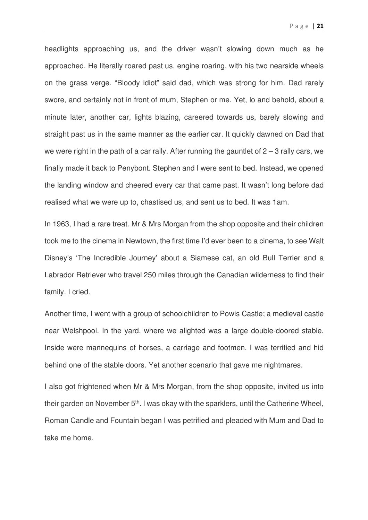P a g e | **21** 

headlights approaching us, and the driver wasn't slowing down much as he approached. He literally roared past us, engine roaring, with his two nearside wheels on the grass verge. "Bloody idiot" said dad, which was strong for him. Dad rarely swore, and certainly not in front of mum, Stephen or me. Yet, lo and behold, about a minute later, another car, lights blazing, careered towards us, barely slowing and straight past us in the same manner as the earlier car. It quickly dawned on Dad that we were right in the path of a car rally. After running the gauntlet of  $2 - 3$  rally cars, we finally made it back to Penybont. Stephen and I were sent to bed. Instead, we opened the landing window and cheered every car that came past. It wasn't long before dad realised what we were up to, chastised us, and sent us to bed. It was 1am.

In 1963, I had a rare treat. Mr & Mrs Morgan from the shop opposite and their children took me to the cinema in Newtown, the first time I'd ever been to a cinema, to see Walt Disney's 'The Incredible Journey' about a Siamese cat, an old Bull Terrier and a Labrador Retriever who travel 250 miles through the Canadian wilderness to find their family. I cried.

Another time, I went with a group of schoolchildren to Powis Castle; a medieval castle near Welshpool. In the yard, where we alighted was a large double-doored stable. Inside were mannequins of horses, a carriage and footmen. I was terrified and hid behind one of the stable doors. Yet another scenario that gave me nightmares.

I also got frightened when Mr & Mrs Morgan, from the shop opposite, invited us into their garden on November 5<sup>th</sup>. I was okay with the sparklers, until the Catherine Wheel, Roman Candle and Fountain began I was petrified and pleaded with Mum and Dad to take me home.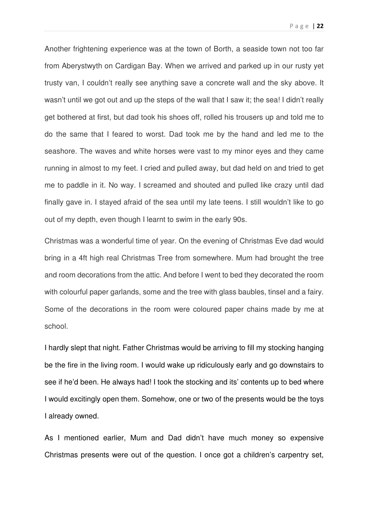Another frightening experience was at the town of Borth, a seaside town not too far from Aberystwyth on Cardigan Bay. When we arrived and parked up in our rusty yet trusty van, I couldn't really see anything save a concrete wall and the sky above. It wasn't until we got out and up the steps of the wall that I saw it; the sea! I didn't really get bothered at first, but dad took his shoes off, rolled his trousers up and told me to do the same that I feared to worst. Dad took me by the hand and led me to the seashore. The waves and white horses were vast to my minor eyes and they came running in almost to my feet. I cried and pulled away, but dad held on and tried to get me to paddle in it. No way. I screamed and shouted and pulled like crazy until dad finally gave in. I stayed afraid of the sea until my late teens. I still wouldn't like to go out of my depth, even though I learnt to swim in the early 90s.

Christmas was a wonderful time of year. On the evening of Christmas Eve dad would bring in a 4ft high real Christmas Tree from somewhere. Mum had brought the tree and room decorations from the attic. And before I went to bed they decorated the room with colourful paper garlands, some and the tree with glass baubles, tinsel and a fairy. Some of the decorations in the room were coloured paper chains made by me at school.

I hardly slept that night. Father Christmas would be arriving to fill my stocking hanging be the fire in the living room. I would wake up ridiculously early and go downstairs to see if he'd been. He always had! I took the stocking and its' contents up to bed where I would excitingly open them. Somehow, one or two of the presents would be the toys I already owned.

As I mentioned earlier, Mum and Dad didn't have much money so expensive Christmas presents were out of the question. I once got a children's carpentry set,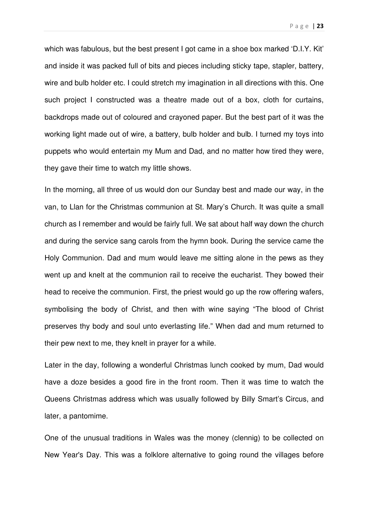P a g e | **23** 

which was fabulous, but the best present I got came in a shoe box marked 'D.I.Y. Kit' and inside it was packed full of bits and pieces including sticky tape, stapler, battery, wire and bulb holder etc. I could stretch my imagination in all directions with this. One such project I constructed was a theatre made out of a box, cloth for curtains, backdrops made out of coloured and crayoned paper. But the best part of it was the working light made out of wire, a battery, bulb holder and bulb. I turned my toys into puppets who would entertain my Mum and Dad, and no matter how tired they were, they gave their time to watch my little shows.

In the morning, all three of us would don our Sunday best and made our way, in the van, to Llan for the Christmas communion at St. Mary's Church. It was quite a small church as I remember and would be fairly full. We sat about half way down the church and during the service sang carols from the hymn book. During the service came the Holy Communion. Dad and mum would leave me sitting alone in the pews as they went up and knelt at the communion rail to receive the eucharist. They bowed their head to receive the communion. First, the priest would go up the row offering wafers, symbolising the body of Christ, and then with wine saying "The blood of Christ preserves thy body and soul unto everlasting life." When dad and mum returned to their pew next to me, they knelt in prayer for a while.

Later in the day, following a wonderful Christmas lunch cooked by mum, Dad would have a doze besides a good fire in the front room. Then it was time to watch the Queens Christmas address which was usually followed by Billy Smart's Circus, and later, a pantomime.

One of the unusual traditions in Wales was the money (clennig) to be collected on New Year's Day. This was a folklore alternative to going round the villages before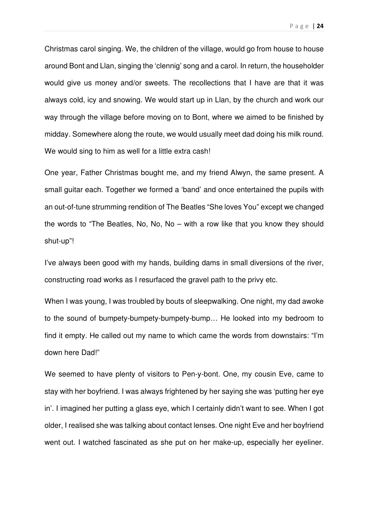Christmas carol singing. We, the children of the village, would go from house to house around Bont and Llan, singing the 'clennig' song and a carol. In return, the householder would give us money and/or sweets. The recollections that I have are that it was always cold, icy and snowing. We would start up in Llan, by the church and work our way through the village before moving on to Bont, where we aimed to be finished by midday. Somewhere along the route, we would usually meet dad doing his milk round. We would sing to him as well for a little extra cash!

One year, Father Christmas bought me, and my friend Alwyn, the same present. A small guitar each. Together we formed a 'band' and once entertained the pupils with an out-of-tune strumming rendition of The Beatles "She loves You" except we changed the words to "The Beatles, No, No, No – with a row like that you know they should shut-up"!

I've always been good with my hands, building dams in small diversions of the river, constructing road works as I resurfaced the gravel path to the privy etc.

When I was young. I was troubled by bouts of sleepwalking. One night, my dad awoke to the sound of bumpety-bumpety-bumpety-bump… He looked into my bedroom to find it empty. He called out my name to which came the words from downstairs: "I'm down here Dad!"

We seemed to have plenty of visitors to Pen-y-bont. One, my cousin Eve, came to stay with her boyfriend. I was always frightened by her saying she was 'putting her eye in'. I imagined her putting a glass eye, which I certainly didn't want to see. When I got older, I realised she was talking about contact lenses. One night Eve and her boyfriend went out. I watched fascinated as she put on her make-up, especially her eyeliner.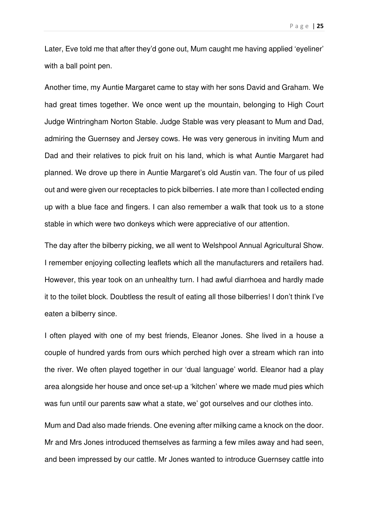Later, Eve told me that after they'd gone out, Mum caught me having applied 'eyeliner' with a ball point pen.

Another time, my Auntie Margaret came to stay with her sons David and Graham. We had great times together. We once went up the mountain, belonging to High Court Judge Wintringham Norton Stable. Judge Stable was very pleasant to Mum and Dad, admiring the Guernsey and Jersey cows. He was very generous in inviting Mum and Dad and their relatives to pick fruit on his land, which is what Auntie Margaret had planned. We drove up there in Auntie Margaret's old Austin van. The four of us piled out and were given our receptacles to pick bilberries. I ate more than I collected ending up with a blue face and fingers. I can also remember a walk that took us to a stone stable in which were two donkeys which were appreciative of our attention.

The day after the bilberry picking, we all went to Welshpool Annual Agricultural Show. I remember enjoying collecting leaflets which all the manufacturers and retailers had. However, this year took on an unhealthy turn. I had awful diarrhoea and hardly made it to the toilet block. Doubtless the result of eating all those bilberries! I don't think I've eaten a bilberry since.

I often played with one of my best friends, Eleanor Jones. She lived in a house a couple of hundred yards from ours which perched high over a stream which ran into the river. We often played together in our 'dual language' world. Eleanor had a play area alongside her house and once set-up a 'kitchen' where we made mud pies which was fun until our parents saw what a state, we' got ourselves and our clothes into.

Mum and Dad also made friends. One evening after milking came a knock on the door. Mr and Mrs Jones introduced themselves as farming a few miles away and had seen, and been impressed by our cattle. Mr Jones wanted to introduce Guernsey cattle into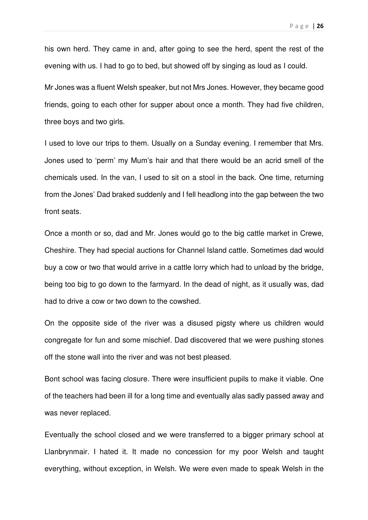his own herd. They came in and, after going to see the herd, spent the rest of the evening with us. I had to go to bed, but showed off by singing as loud as I could.

Mr Jones was a fluent Welsh speaker, but not Mrs Jones. However, they became good friends, going to each other for supper about once a month. They had five children, three boys and two girls.

I used to love our trips to them. Usually on a Sunday evening. I remember that Mrs. Jones used to 'perm' my Mum's hair and that there would be an acrid smell of the chemicals used. In the van, I used to sit on a stool in the back. One time, returning from the Jones' Dad braked suddenly and I fell headlong into the gap between the two front seats.

Once a month or so, dad and Mr. Jones would go to the big cattle market in Crewe, Cheshire. They had special auctions for Channel Island cattle. Sometimes dad would buy a cow or two that would arrive in a cattle lorry which had to unload by the bridge, being too big to go down to the farmyard. In the dead of night, as it usually was, dad had to drive a cow or two down to the cowshed.

On the opposite side of the river was a disused pigsty where us children would congregate for fun and some mischief. Dad discovered that we were pushing stones off the stone wall into the river and was not best pleased.

Bont school was facing closure. There were insufficient pupils to make it viable. One of the teachers had been ill for a long time and eventually alas sadly passed away and was never replaced.

Eventually the school closed and we were transferred to a bigger primary school at Llanbrynmair. I hated it. It made no concession for my poor Welsh and taught everything, without exception, in Welsh. We were even made to speak Welsh in the